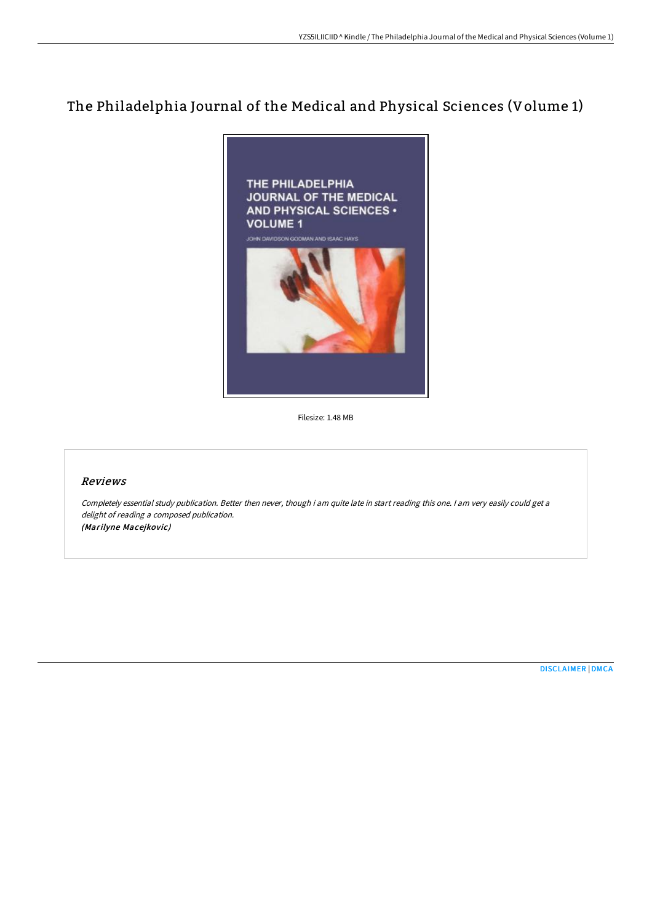## The Philadelphia Journal of the Medical and Physical Sciences (Volume 1)



Filesize: 1.48 MB

## Reviews

Completely essential study publication. Better then never, though i am quite late in start reading this one. I am very easily could get <sup>a</sup> delight of reading <sup>a</sup> composed publication. (Marilyne Macejkovic)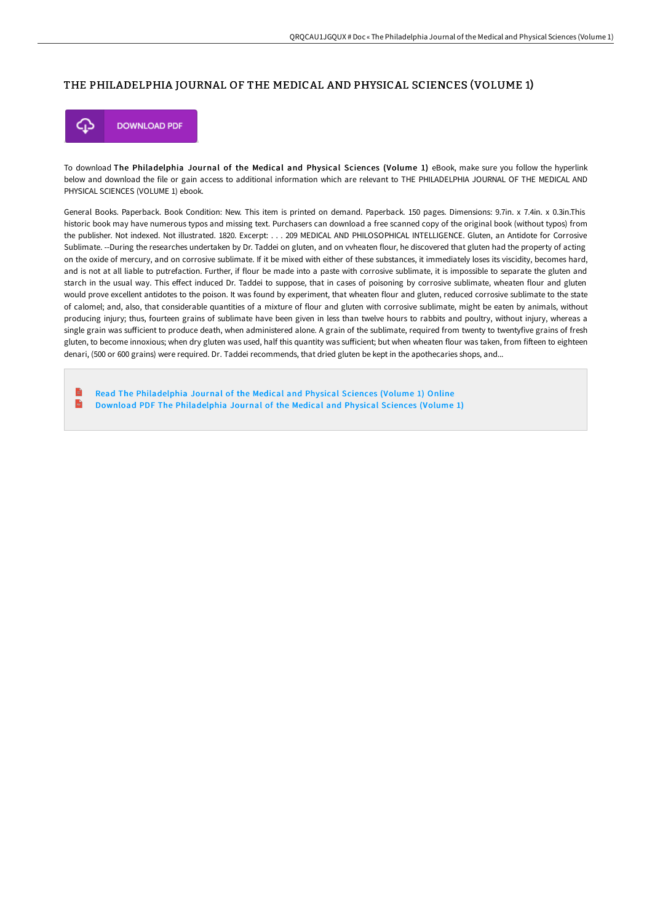## THE PHILADELPHIA JOURNAL OF THE MEDICAL AND PHYSICAL SCIENCES (VOLUME 1)



To download The Philadelphia Journal of the Medical and Physical Sciences (Volume 1) eBook, make sure you follow the hyperlink below and download the file or gain access to additional information which are relevant to THE PHILADELPHIA JOURNAL OF THE MEDICAL AND PHYSICAL SCIENCES (VOLUME 1) ebook.

General Books. Paperback. Book Condition: New. This item is printed on demand. Paperback. 150 pages. Dimensions: 9.7in. x 7.4in. x 0.3in.This historic book may have numerous typos and missing text. Purchasers can download a free scanned copy of the original book (without typos) from the publisher. Not indexed. Not illustrated. 1820. Excerpt: . . . 209 MEDICAL AND PHILOSOPHICAL INTELLIGENCE. Gluten, an Antidote for Corrosive Sublimate. --During the researches undertaken by Dr. Taddei on gluten, and on vvheaten flour, he discovered that gluten had the property of acting on the oxide of mercury, and on corrosive sublimate. If it be mixed with either of these substances, it immediately loses its viscidity, becomes hard, and is not at all liable to putrefaction. Further, if flour be made into a paste with corrosive sublimate, it is impossible to separate the gluten and starch in the usual way. This effect induced Dr. Taddei to suppose, that in cases of poisoning by corrosive sublimate, wheaten flour and gluten would prove excellent antidotes to the poison. It was found by experiment, that wheaten flour and gluten, reduced corrosive sublimate to the state of calomel; and, also, that considerable quantities of a mixture of flour and gluten with corrosive sublimate, might be eaten by animals, without producing injury; thus, fourteen grains of sublimate have been given in less than twelve hours to rabbits and poultry, without injury, whereas a single grain was sufficient to produce death, when administered alone. A grain of the sublimate, required from twenty to twentyfive grains of fresh gluten, to become innoxious; when dry gluten was used, half this quantity was sufficient; but when wheaten flour was taken, from fifteen to eighteen denari, (500 or 600 grains) were required. Dr. Taddei recommends, that dried gluten be kept in the apothecaries shops, and...

B Read The [Philadelphia](http://techno-pub.tech/the-philadelphia-journal-of-the-medical-and-phys.html) Journal of the Medical and Physical Sciences (Volume 1) Online  $\overline{\mathbf{R}}$ Download PDF The [Philadelphia](http://techno-pub.tech/the-philadelphia-journal-of-the-medical-and-phys.html) Journal of the Medical and Physical Sciences (Volume 1)